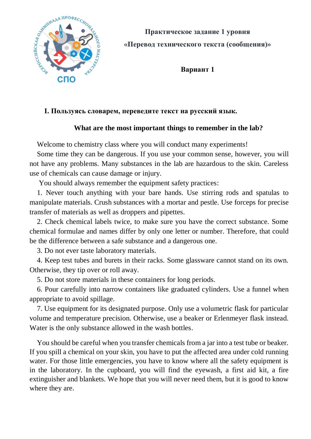

**Вариант 1**

## **I. Пользуясь словарем, переведите текст на русский язык.**

## **What are the most important things to remember in the lab?**

Welcome to chemistry class where you will conduct many experiments!

Some time they can be dangerous. If you use your common sense, however, you will not have any problems. Many substances in the lab are hazardous to the skin. Careless use of chemicals can cause damage or injury.

You should always remember the equipment safety practices:

1. Never touch anything with your bare hands. Use stirring rods and spatulas to manipulate materials. Crush substances with a mortar and pestle. Use forceps for precise transfer of materials as well as droppers and pipettes.

2. Check chemical labels twice, to make sure you have the correct substance. Some chemical formulae and names differ by only one letter or number. Therefore, that could be the difference between a safe substance and a dangerous one.

3. Do not ever taste laboratory materials.

4. Keep test tubes and burets in their racks. Some glassware cannot stand on its own. Otherwise, they tip over or roll away.

5. Do not store materials in these containers for long periods.

6. Pour carefully into narrow containers like graduated cylinders. Use a funnel when appropriate to avoid spillage.

7. Use equipment for its designated purpose. Only use a volumetric flask for particular volume and temperature precision. Otherwise, use a beaker or Erlenmeyer flask instead. Water is the only substance allowed in the wash bottles.

You should be careful when you transfer chemicals from a jar into a test tube or beaker. If you spill a chemical on your skin, you have to put the affected area under cold running water. For those little emergencies, you have to know where all the safety equipment is in the laboratory. In the cupboard, you will find the eyewash, a first aid kit, a fire extinguisher and blankets. We hope that you will never need them, but it is good to know where they are.